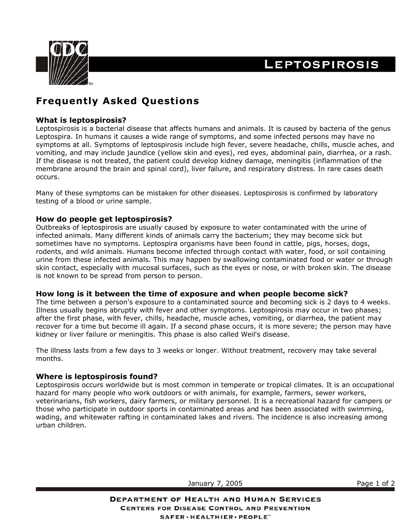



# **Frequently Asked Questions**

## **What is leptospirosis?**

Leptospirosis is a bacterial disease that affects humans and animals. It is caused by bacteria of the genus Leptospira. In humans it causes a wide range of symptoms, and some infected persons may have no symptoms at all. Symptoms of leptospirosis include high fever, severe headache, chills, muscle aches, and vomiting, and may include jaundice (yellow skin and eyes), red eyes, abdominal pain, diarrhea, or a rash. If the disease is not treated, the patient could develop kidney damage, meningitis (inflammation of the membrane around the brain and spinal cord), liver failure, and respiratory distress. In rare cases death occurs.

Many of these symptoms can be mistaken for other diseases. Leptospirosis is confirmed by laboratory testing of a blood or urine sample.

## **How do people get leptospirosis?**

Outbreaks of leptospirosis are usually caused by exposure to water contaminated with the urine of infected animals. Many different kinds of animals carry the bacterium; they may become sick but sometimes have no symptoms. Leptospira organisms have been found in cattle, pigs, horses, dogs, rodents, and wild animals. Humans become infected through contact with water, food, or soil containing urine from these infected animals. This may happen by swallowing contaminated food or water or through skin contact, especially with mucosal surfaces, such as the eyes or nose, or with broken skin. The disease is not known to be spread from person to person.

#### **How long is it between the time of exposure and when people become sick?**

The time between a person's exposure to a contaminated source and becoming sick is 2 days to 4 weeks. Illness usually begins abruptly with fever and other symptoms. Leptospirosis may occur in two phases; after the first phase, with fever, chills, headache, muscle aches, vomiting, or diarrhea, the patient may recover for a time but become ill again. If a second phase occurs, it is more severe; the person may have kidney or liver failure or meningitis. This phase is also called Weil's disease.

The illness lasts from a few days to 3 weeks or longer. Without treatment, recovery may take several months.

# **Where is leptospirosis found?**

Leptospirosis occurs worldwide but is most common in temperate or tropical climates. It is an occupational hazard for many people who work outdoors or with animals, for example, farmers, sewer workers, veterinarians, fish workers, dairy farmers, or military personnel. It is a recreational hazard for campers or those who participate in outdoor sports in contaminated areas and has been associated with swimming, wading, and whitewater rafting in contaminated lakes and rivers. The incidence is also increasing among urban children.

January 7, 2005 **Page 1 of 2** 

**DEPARTMENT OF HEALTH AND HUMAN SERVICES CENTERS FOR DISEASE CONTROL AND PREVENTION**  $\texttt{SAFER} \cdot \texttt{HEALTHIER} \cdot \texttt{PEOPLE}^{\mathsf{w}}$